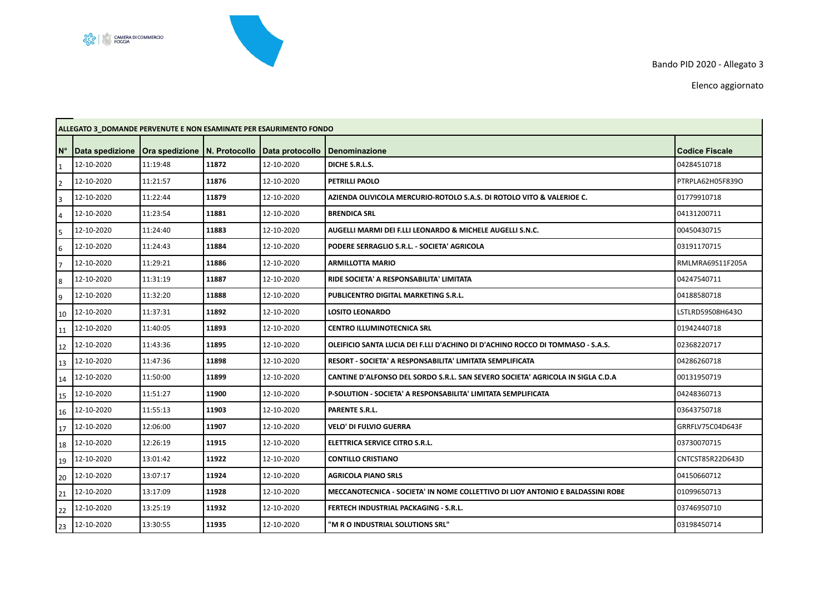## လုပ္လံု<br>၁၄၄၉ ကြား CAMERA DI COMMERCIO

F

Bando PID 2020 - Allegato 3

Elenco aggiornato

| <b>ALLEGATO 3 DOMANDE PERVENUTE E NON ESAMINATE PER ESAURIMENTO FONDO</b> |                 |                                       |       |                 |                                                                                |                       |  |  |  |
|---------------------------------------------------------------------------|-----------------|---------------------------------------|-------|-----------------|--------------------------------------------------------------------------------|-----------------------|--|--|--|
| $N^{\circ}$                                                               | Data spedizione | <b>Ora spedizione   N. Protocollo</b> |       | Data protocollo | <b>Denominazione</b>                                                           | <b>Codice Fiscale</b> |  |  |  |
| 1                                                                         | 12-10-2020      | 11:19:48                              | 11872 | 12-10-2020      | DICHE S.R.L.S.                                                                 | 04284510718           |  |  |  |
| $\overline{2}$                                                            | 12-10-2020      | 11:21:57                              | 11876 | 12-10-2020      | PETRILLI PAOLO                                                                 | PTRPLA62H05F839O      |  |  |  |
| 3                                                                         | 12-10-2020      | 11:22:44                              | 11879 | 12-10-2020      | AZIENDA OLIVICOLA MERCURIO-ROTOLO S.A.S. DI ROTOLO VITO & VALERIOE C.          | 01779910718           |  |  |  |
| $\overline{4}$                                                            | 12-10-2020      | 11:23:54                              | 11881 | 12-10-2020      | <b>BRENDICA SRL</b>                                                            | 04131200711           |  |  |  |
| 5                                                                         | 12-10-2020      | 11:24:40                              | 11883 | 12-10-2020      | AUGELLI MARMI DEI F.LLI LEONARDO & MICHELE AUGELLI S.N.C.                      | 00450430715           |  |  |  |
| 6                                                                         | 12-10-2020      | 11:24:43                              | 11884 | 12-10-2020      | PODERE SERRAGLIO S.R.L. - SOCIETA' AGRICOLA                                    | 03191170715           |  |  |  |
| $\overline{7}$                                                            | 12-10-2020      | 11:29:21                              | 11886 | 12-10-2020      | <b>ARMILLOTTA MARIO</b>                                                        | RMLMRA69S11F205A      |  |  |  |
| 8                                                                         | 12-10-2020      | 11:31:19                              | 11887 | 12-10-2020      | RIDE SOCIETA' A RESPONSABILITA' LIMITATA                                       | 04247540711           |  |  |  |
| 9                                                                         | 12-10-2020      | 11:32:20                              | 11888 | 12-10-2020      | PUBLICENTRO DIGITAL MARKETING S.R.L.                                           | 04188580718           |  |  |  |
| 10                                                                        | 12-10-2020      | 11:37:31                              | 11892 | 12-10-2020      | <b>LOSITO LEONARDO</b>                                                         | LSTLRD59S08H643O      |  |  |  |
| 11                                                                        | 12-10-2020      | 11:40:05                              | 11893 | 12-10-2020      | <b>CENTRO ILLUMINOTECNICA SRL</b>                                              | 01942440718           |  |  |  |
| 12                                                                        | 12-10-2020      | 11:43:36                              | 11895 | 12-10-2020      | OLEIFICIO SANTA LUCIA DEI F.LLI D'ACHINO DI D'ACHINO ROCCO DI TOMMASO - S.A.S. | 02368220717           |  |  |  |
| 13                                                                        | 12-10-2020      | 11:47:36                              | 11898 | 12-10-2020      | RESORT - SOCIETA' A RESPONSABILITA' LIMITATA SEMPLIFICATA                      | 04286260718           |  |  |  |
| 14                                                                        | 12-10-2020      | 11:50:00                              | 11899 | 12-10-2020      | CANTINE D'ALFONSO DEL SORDO S.R.L. SAN SEVERO SOCIETA' AGRICOLA IN SIGLA C.D.A | 00131950719           |  |  |  |
| 15                                                                        | 12-10-2020      | 11:51:27                              | 11900 | 12-10-2020      | P-SOLUTION - SOCIETA' A RESPONSABILITA' LIMITATA SEMPLIFICATA                  | 04248360713           |  |  |  |
| 16                                                                        | 12-10-2020      | 11:55:13                              | 11903 | 12-10-2020      | <b>PARENTE S.R.L.</b>                                                          | 03643750718           |  |  |  |
| 17                                                                        | 12-10-2020      | 12:06:00                              | 11907 | 12-10-2020      | <b>VELO' DI FULVIO GUERRA</b>                                                  | GRRFLV75C04D643F      |  |  |  |
| 18                                                                        | 12-10-2020      | 12:26:19                              | 11915 | 12-10-2020      | ELETTRICA SERVICE CITRO S.R.L.                                                 | 03730070715           |  |  |  |
| 19                                                                        | 12-10-2020      | 13:01:42                              | 11922 | 12-10-2020      | <b>CONTILLO CRISTIANO</b>                                                      | CNTCST85R22D643D      |  |  |  |
| 20                                                                        | 12-10-2020      | 13:07:17                              | 11924 | 12-10-2020      | <b>AGRICOLA PIANO SRLS</b>                                                     | 04150660712           |  |  |  |
| 21                                                                        | 12-10-2020      | 13:17:09                              | 11928 | 12-10-2020      | MECCANOTECNICA - SOCIETA' IN NOME COLLETTIVO DI LIOY ANTONIO E BALDASSINI ROBE | 01099650713           |  |  |  |
| 22                                                                        | 12-10-2020      | 13:25:19                              | 11932 | 12-10-2020      | FERTECH INDUSTRIAL PACKAGING - S.R.L.                                          | 03746950710           |  |  |  |
| 23                                                                        | 12-10-2020      | 13:30:55                              | 11935 | 12-10-2020      | 'M R O INDUSTRIAL SOLUTIONS SRL"                                               | 03198450714           |  |  |  |